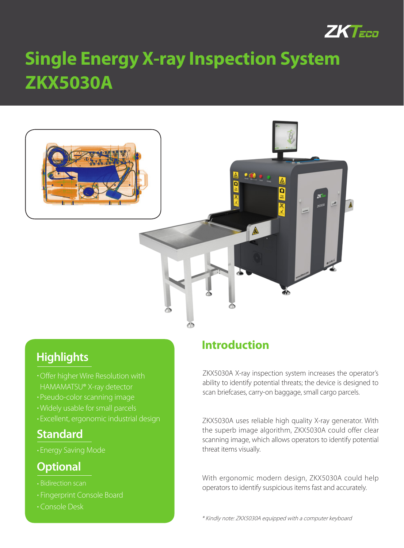

# **ZKX5030A Single Energy X-ray Inspection System**



## **Highlights**

- Offer higher Wire Resolution with HAMAMATSU® X-ray detector
- Pseudo-color scanning image
- Widely usable for small parcels
- Excellent, ergonomic industrial design

## **Standard**

Energy Saving Mode

## **Optional**

- Bidirection scan
- **Fingerprint Console Board**
- Console Desk

## **Introduction**

ZKX5030A X-ray inspection system increases the operator's ability to identify potential threats; the device is designed to scan briefcases, carry-on baggage, small cargo parcels.

ZKX5030A uses reliable high quality X-ray generator. With the superb image algorithm, ZKX5030A could offer clear scanning image, which allows operators to identify potential threat items visually.

With ergonomic modern design, ZKX5030A could help operators to identify suspicious items fast and accurately.

\* Kindly note: ZKX5030A equipped with a computer keyboard